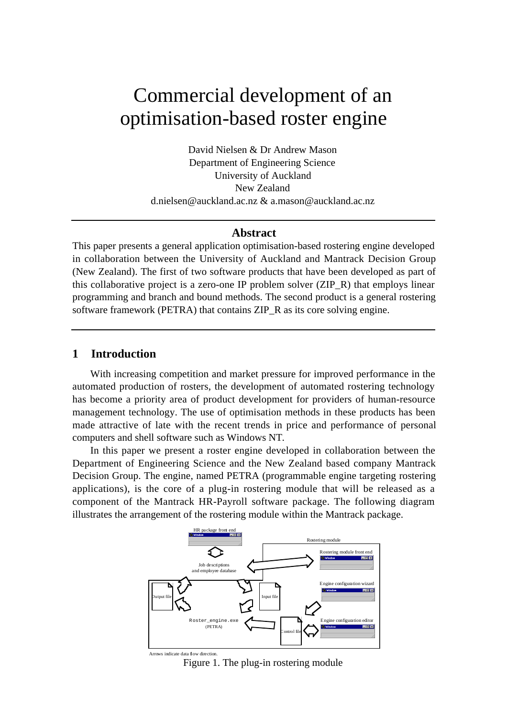# Commercial development of an optimisation-based roster engine

David Nielsen & Dr Andrew Mason Department of Engineering Science University of Auckland New Zealand d.nielsen@auckland.ac.nz & a.mason@auckland.ac.nz

# **Abstract**

This paper presents a general application optimisation-based rostering engine developed in collaboration between the University of Auckland and Mantrack Decision Group (New Zealand). The first of two software products that have been developed as part of this collaborative project is a zero-one IP problem solver (ZIP\_R) that employs linear programming and branch and bound methods. The second product is a general rostering software framework (PETRA) that contains ZIP\_R as its core solving engine.

# **1 Introduction**

With increasing competition and market pressure for improved performance in the automated production of rosters, the development of automated rostering technology has become a priority area of product development for providers of human-resource management technology. The use of optimisation methods in these products has been made attractive of late with the recent trends in price and performance of personal computers and shell software such as Windows NT.

In this paper we present a roster engine developed in collaboration between the Department of Engineering Science and the New Zealand based company Mantrack Decision Group. The engine, named PETRA (programmable engine targeting rostering applications), is the core of a plug-in rostering module that will be released as a component of the Mantrack HR-Payroll software package. The following diagram illustrates the arrangement of the rostering module within the Mantrack package.



Figure 1. The plug-in rostering module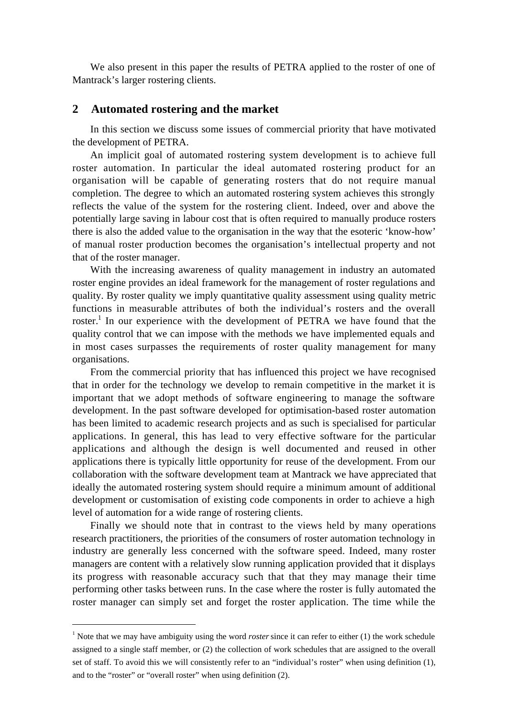We also present in this paper the results of PETRA applied to the roster of one of Mantrack's larger rostering clients.

# **2 Automated rostering and the market**

In this section we discuss some issues of commercial priority that have motivated the development of PETRA.

An implicit goal of automated rostering system development is to achieve full roster automation. In particular the ideal automated rostering product for an organisation will be capable of generating rosters that do not require manual completion. The degree to which an automated rostering system achieves this strongly reflects the value of the system for the rostering client. Indeed, over and above the potentially large saving in labour cost that is often required to manually produce rosters there is also the added value to the organisation in the way that the esoteric 'know-how' of manual roster production becomes the organisation's intellectual property and not that of the roster manager.

With the increasing awareness of quality management in industry an automated roster engine provides an ideal framework for the management of roster regulations and quality. By roster quality we imply quantitative quality assessment using quality metric functions in measurable attributes of both the individual's rosters and the overall roster.<sup>1</sup> In our experience with the development of PETRA we have found that the quality control that we can impose with the methods we have implemented equals and in most cases surpasses the requirements of roster quality management for many organisations.

From the commercial priority that has influenced this project we have recognised that in order for the technology we develop to remain competitive in the market it is important that we adopt methods of software engineering to manage the software development. In the past software developed for optimisation-based roster automation has been limited to academic research projects and as such is specialised for particular applications. In general, this has lead to very effective software for the particular applications and although the design is well documented and reused in other applications there is typically little opportunity for reuse of the development. From our collaboration with the software development team at Mantrack we have appreciated that ideally the automated rostering system should require a minimum amount of additional development or customisation of existing code components in order to achieve a high level of automation for a wide range of rostering clients.

Finally we should note that in contrast to the views held by many operations research practitioners, the priorities of the consumers of roster automation technology in industry are generally less concerned with the software speed. Indeed, many roster managers are content with a relatively slow running application provided that it displays its progress with reasonable accuracy such that that they may manage their time performing other tasks between runs. In the case where the roster is fully automated the roster manager can simply set and forget the roster application. The time while the

 $\overline{a}$ 

<sup>&</sup>lt;sup>1</sup> Note that we may have ambiguity using the word *roster* since it can refer to either (1) the work schedule assigned to a single staff member, or (2) the collection of work schedules that are assigned to the overall set of staff. To avoid this we will consistently refer to an "individual's roster" when using definition (1), and to the "roster" or "overall roster" when using definition (2).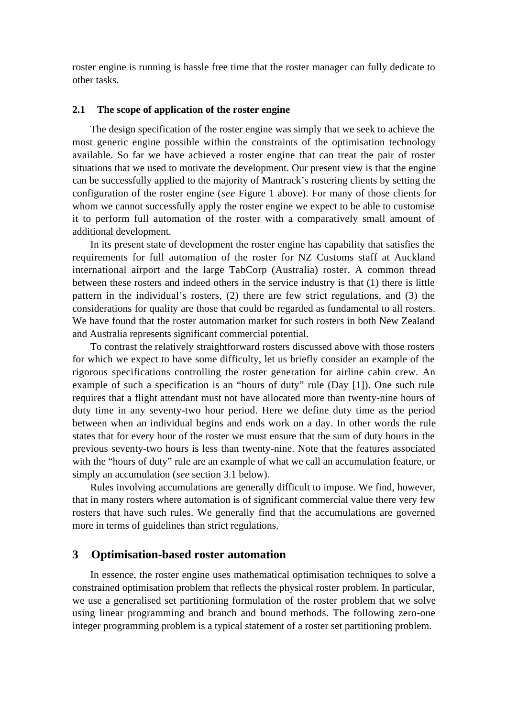roster engine is running is hassle free time that the roster manager can fully dedicate to other tasks.

#### **2.1 The scope of application of the roster engine**

The design specification of the roster engine was simply that we seek to achieve the most generic engine possible within the constraints of the optimisation technology available. So far we have achieved a roster engine that can treat the pair of roster situations that we used to motivate the development. Our present view is that the engine can be successfully applied to the majority of Mantrack's rostering clients by setting the configuration of the roster engine (*see* Figure 1 above). For many of those clients for whom we cannot successfully apply the roster engine we expect to be able to customise it to perform full automation of the roster with a comparatively small amount of additional development.

In its present state of development the roster engine has capability that satisfies the requirements for full automation of the roster for NZ Customs staff at Auckland international airport and the large TabCorp (Australia) roster. A common thread between these rosters and indeed others in the service industry is that (1) there is little pattern in the individual's rosters, (2) there are few strict regulations, and (3) the considerations for quality are those that could be regarded as fundamental to all rosters. We have found that the roster automation market for such rosters in both New Zealand and Australia represents significant commercial potential.

To contrast the relatively straightforward rosters discussed above with those rosters for which we expect to have some difficulty, let us briefly consider an example of the rigorous specifications controlling the roster generation for airline cabin crew. An example of such a specification is an "hours of duty" rule (Day [1]). One such rule requires that a flight attendant must not have allocated more than twenty-nine hours of duty time in any seventy-two hour period. Here we define duty time as the period between when an individual begins and ends work on a day. In other words the rule states that for every hour of the roster we must ensure that the sum of duty hours in the previous seventy-two hours is less than twenty-nine. Note that the features associated with the "hours of duty" rule are an example of what we call an accumulation feature, or simply an accumulation (*see* section 3.1 below).

Rules involving accumulations are generally difficult to impose. We find, however, that in many rosters where automation is of significant commercial value there very few rosters that have such rules. We generally find that the accumulations are governed more in terms of guidelines than strict regulations.

# **3 Optimisation-based roster automation**

In essence, the roster engine uses mathematical optimisation techniques to solve a constrained optimisation problem that reflects the physical roster problem. In particular, we use a generalised set partitioning formulation of the roster problem that we solve using linear programming and branch and bound methods. The following zero-one integer programming problem is a typical statement of a roster set partitioning problem.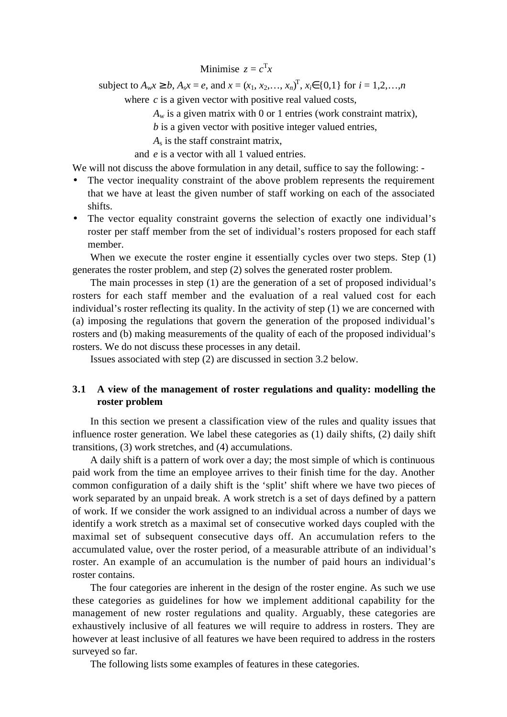Minimise  $z = c^{\mathrm{T}} x$ 

subject to  $A_w x \ge b$ ,  $A_s x = e$ , and  $x = (x_1, x_2,..., x_n)^T$ ,  $x_i \in \{0,1\}$  for  $i = 1,2,...,n$ 

where  $c$  is a given vector with positive real valued costs,

 $A_w$  is a given matrix with 0 or 1 entries (work constraint matrix),

*b* is a given vector with positive integer valued entries,

*A*s is the staff constraint matrix,

and *e* is a vector with all 1 valued entries.

We will not discuss the above formulation in any detail, suffice to say the following: -

- The vector inequality constraint of the above problem represents the requirement that we have at least the given number of staff working on each of the associated shifts.
- The vector equality constraint governs the selection of exactly one individual's roster per staff member from the set of individual's rosters proposed for each staff member.

When we execute the roster engine it essentially cycles over two steps. Step (1) generates the roster problem, and step (2) solves the generated roster problem.

The main processes in step (1) are the generation of a set of proposed individual's rosters for each staff member and the evaluation of a real valued cost for each individual's roster reflecting its quality. In the activity of step (1) we are concerned with (a) imposing the regulations that govern the generation of the proposed individual's rosters and (b) making measurements of the quality of each of the proposed individual's rosters. We do not discuss these processes in any detail.

Issues associated with step (2) are discussed in section 3.2 below.

# **3.1 A view of the management of roster regulations and quality: modelling the roster problem**

In this section we present a classification view of the rules and quality issues that influence roster generation. We label these categories as (1) daily shifts, (2) daily shift transitions, (3) work stretches, and (4) accumulations.

A daily shift is a pattern of work over a day; the most simple of which is continuous paid work from the time an employee arrives to their finish time for the day. Another common configuration of a daily shift is the 'split' shift where we have two pieces of work separated by an unpaid break. A work stretch is a set of days defined by a pattern of work. If we consider the work assigned to an individual across a number of days we identify a work stretch as a maximal set of consecutive worked days coupled with the maximal set of subsequent consecutive days off. An accumulation refers to the accumulated value, over the roster period, of a measurable attribute of an individual's roster. An example of an accumulation is the number of paid hours an individual's roster contains.

The four categories are inherent in the design of the roster engine. As such we use these categories as guidelines for how we implement additional capability for the management of new roster regulations and quality. Arguably, these categories are exhaustively inclusive of all features we will require to address in rosters. They are however at least inclusive of all features we have been required to address in the rosters surveyed so far.

The following lists some examples of features in these categories.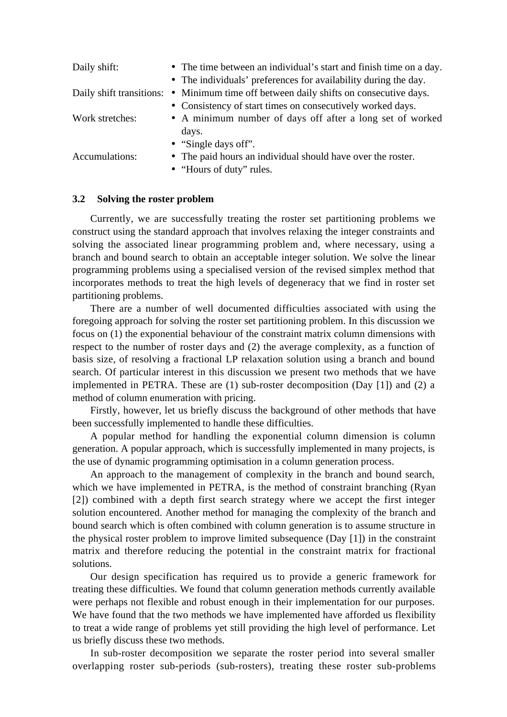| Daily shift:    | • The time between an individual's start and finish time on a day.                    |
|-----------------|---------------------------------------------------------------------------------------|
|                 | • The individuals' preferences for availability during the day.                       |
|                 | Daily shift transitions: • Minimum time off between daily shifts on consecutive days. |
|                 | • Consistency of start times on consecutively worked days.                            |
| Work stretches: | • A minimum number of days off after a long set of worked                             |
|                 | days.                                                                                 |
|                 | $\bullet$ "Single days off".                                                          |
| Accumulations:  | • The paid hours an individual should have over the roster.                           |

- - "Hours of duty" rules.

#### **3.2 Solving the roster problem**

Currently, we are successfully treating the roster set partitioning problems we construct using the standard approach that involves relaxing the integer constraints and solving the associated linear programming problem and, where necessary, using a branch and bound search to obtain an acceptable integer solution. We solve the linear programming problems using a specialised version of the revised simplex method that incorporates methods to treat the high levels of degeneracy that we find in roster set partitioning problems.

There are a number of well documented difficulties associated with using the foregoing approach for solving the roster set partitioning problem. In this discussion we focus on (1) the exponential behaviour of the constraint matrix column dimensions with respect to the number of roster days and (2) the average complexity, as a function of basis size, of resolving a fractional LP relaxation solution using a branch and bound search. Of particular interest in this discussion we present two methods that we have implemented in PETRA. These are (1) sub-roster decomposition (Day [1]) and (2) a method of column enumeration with pricing.

Firstly, however, let us briefly discuss the background of other methods that have been successfully implemented to handle these difficulties.

A popular method for handling the exponential column dimension is column generation. A popular approach, which is successfully implemented in many projects, is the use of dynamic programming optimisation in a column generation process.

An approach to the management of complexity in the branch and bound search, which we have implemented in PETRA, is the method of constraint branching (Ryan [2]) combined with a depth first search strategy where we accept the first integer solution encountered. Another method for managing the complexity of the branch and bound search which is often combined with column generation is to assume structure in the physical roster problem to improve limited subsequence (Day [1]) in the constraint matrix and therefore reducing the potential in the constraint matrix for fractional solutions.

Our design specification has required us to provide a generic framework for treating these difficulties. We found that column generation methods currently available were perhaps not flexible and robust enough in their implementation for our purposes. We have found that the two methods we have implemented have afforded us flexibility to treat a wide range of problems yet still providing the high level of performance. Let us briefly discuss these two methods.

In sub-roster decomposition we separate the roster period into several smaller overlapping roster sub-periods (sub-rosters), treating these roster sub-problems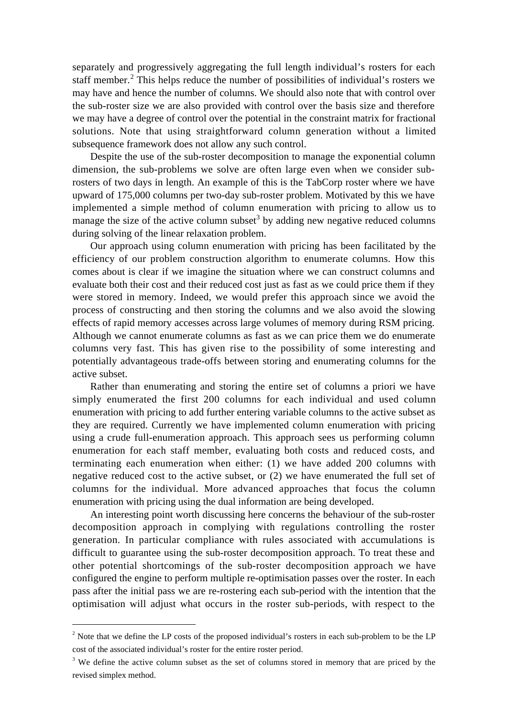separately and progressively aggregating the full length individual's rosters for each staff member.<sup>2</sup> This helps reduce the number of possibilities of individual's rosters we may have and hence the number of columns. We should also note that with control over the sub-roster size we are also provided with control over the basis size and therefore we may have a degree of control over the potential in the constraint matrix for fractional solutions. Note that using straightforward column generation without a limited subsequence framework does not allow any such control.

Despite the use of the sub-roster decomposition to manage the exponential column dimension, the sub-problems we solve are often large even when we consider subrosters of two days in length. An example of this is the TabCorp roster where we have upward of 175,000 columns per two-day sub-roster problem. Motivated by this we have implemented a simple method of column enumeration with pricing to allow us to manage the size of the active column subset<sup>3</sup> by adding new negative reduced columns during solving of the linear relaxation problem.

Our approach using column enumeration with pricing has been facilitated by the efficiency of our problem construction algorithm to enumerate columns. How this comes about is clear if we imagine the situation where we can construct columns and evaluate both their cost and their reduced cost just as fast as we could price them if they were stored in memory. Indeed, we would prefer this approach since we avoid the process of constructing and then storing the columns and we also avoid the slowing effects of rapid memory accesses across large volumes of memory during RSM pricing. Although we cannot enumerate columns as fast as we can price them we do enumerate columns very fast. This has given rise to the possibility of some interesting and potentially advantageous trade-offs between storing and enumerating columns for the active subset.

Rather than enumerating and storing the entire set of columns a priori we have simply enumerated the first 200 columns for each individual and used column enumeration with pricing to add further entering variable columns to the active subset as they are required. Currently we have implemented column enumeration with pricing using a crude full-enumeration approach. This approach sees us performing column enumeration for each staff member, evaluating both costs and reduced costs, and terminating each enumeration when either: (1) we have added 200 columns with negative reduced cost to the active subset, or (2) we have enumerated the full set of columns for the individual. More advanced approaches that focus the column enumeration with pricing using the dual information are being developed.

An interesting point worth discussing here concerns the behaviour of the sub-roster decomposition approach in complying with regulations controlling the roster generation. In particular compliance with rules associated with accumulations is difficult to guarantee using the sub-roster decomposition approach. To treat these and other potential shortcomings of the sub-roster decomposition approach we have configured the engine to perform multiple re-optimisation passes over the roster. In each pass after the initial pass we are re-rostering each sub-period with the intention that the optimisation will adjust what occurs in the roster sub-periods, with respect to the

 $\overline{a}$ 

<sup>&</sup>lt;sup>2</sup> Note that we define the LP costs of the proposed individual's rosters in each sub-problem to be the LP cost of the associated individual's roster for the entire roster period.

 $3$  We define the active column subset as the set of columns stored in memory that are priced by the revised simplex method.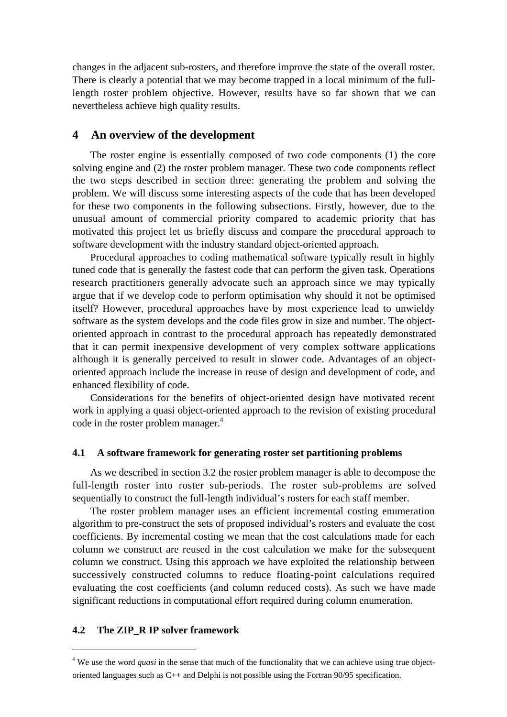changes in the adjacent sub-rosters, and therefore improve the state of the overall roster. There is clearly a potential that we may become trapped in a local minimum of the fulllength roster problem objective. However, results have so far shown that we can nevertheless achieve high quality results.

# **4 An overview of the development**

The roster engine is essentially composed of two code components (1) the core solving engine and (2) the roster problem manager. These two code components reflect the two steps described in section three: generating the problem and solving the problem. We will discuss some interesting aspects of the code that has been developed for these two components in the following subsections. Firstly, however, due to the unusual amount of commercial priority compared to academic priority that has motivated this project let us briefly discuss and compare the procedural approach to software development with the industry standard object-oriented approach.

Procedural approaches to coding mathematical software typically result in highly tuned code that is generally the fastest code that can perform the given task. Operations research practitioners generally advocate such an approach since we may typically argue that if we develop code to perform optimisation why should it not be optimised itself? However, procedural approaches have by most experience lead to unwieldy software as the system develops and the code files grow in size and number. The objectoriented approach in contrast to the procedural approach has repeatedly demonstrated that it can permit inexpensive development of very complex software applications although it is generally perceived to result in slower code. Advantages of an objectoriented approach include the increase in reuse of design and development of code, and enhanced flexibility of code.

Considerations for the benefits of object-oriented design have motivated recent work in applying a quasi object-oriented approach to the revision of existing procedural code in the roster problem manager.<sup>4</sup>

#### **4.1 A software framework for generating roster set partitioning problems**

As we described in section 3.2 the roster problem manager is able to decompose the full-length roster into roster sub-periods. The roster sub-problems are solved sequentially to construct the full-length individual's rosters for each staff member.

The roster problem manager uses an efficient incremental costing enumeration algorithm to pre-construct the sets of proposed individual's rosters and evaluate the cost coefficients. By incremental costing we mean that the cost calculations made for each column we construct are reused in the cost calculation we make for the subsequent column we construct. Using this approach we have exploited the relationship between successively constructed columns to reduce floating-point calculations required evaluating the cost coefficients (and column reduced costs). As such we have made significant reductions in computational effort required during column enumeration.

#### **4.2 The ZIP\_R IP solver framework**

 $\overline{a}$ 

<sup>&</sup>lt;sup>4</sup> We use the word *quasi* in the sense that much of the functionality that we can achieve using true objectoriented languages such as C++ and Delphi is not possible using the Fortran 90/95 specification.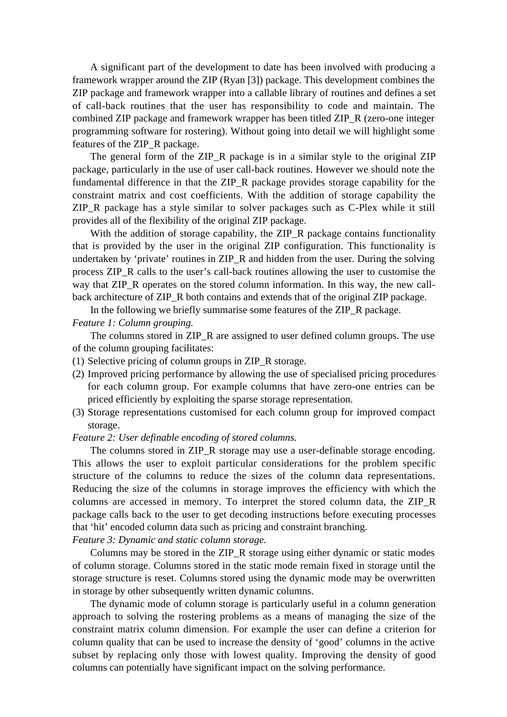A significant part of the development to date has been involved with producing a framework wrapper around the ZIP (Ryan [3]) package. This development combines the ZIP package and framework wrapper into a callable library of routines and defines a set of call-back routines that the user has responsibility to code and maintain. The combined ZIP package and framework wrapper has been titled ZIP\_R (zero-one integer programming software for rostering). Without going into detail we will highlight some features of the ZIP\_R package.

The general form of the ZIP\_R package is in a similar style to the original ZIP package, particularly in the use of user call-back routines. However we should note the fundamental difference in that the ZIP\_R package provides storage capability for the constraint matrix and cost coefficients. With the addition of storage capability the ZIP\_R package has a style similar to solver packages such as C-Plex while it still provides all of the flexibility of the original ZIP package.

With the addition of storage capability, the ZIP\_R package contains functionality that is provided by the user in the original ZIP configuration. This functionality is undertaken by 'private' routines in ZIP\_R and hidden from the user. During the solving process ZIP\_R calls to the user's call-back routines allowing the user to customise the way that ZIP\_R operates on the stored column information. In this way, the new callback architecture of ZIP\_R both contains and extends that of the original ZIP package.

In the following we briefly summarise some features of the ZIP\_R package. *Feature 1: Column grouping.*

The columns stored in ZIP\_R are assigned to user defined column groups. The use of the column grouping facilitates:

- (1) Selective pricing of column groups in ZIP\_R storage.
- (2) Improved pricing performance by allowing the use of specialised pricing procedures for each column group. For example columns that have zero-one entries can be priced efficiently by exploiting the sparse storage representation.
- (3) Storage representations customised for each column group for improved compact storage.

#### *Feature 2: User definable encoding of stored columns.*

The columns stored in ZIP\_R storage may use a user-definable storage encoding. This allows the user to exploit particular considerations for the problem specific structure of the columns to reduce the sizes of the column data representations. Reducing the size of the columns in storage improves the efficiency with which the columns are accessed in memory. To interpret the stored column data, the ZIP\_R package calls back to the user to get decoding instructions before executing processes that 'hit' encoded column data such as pricing and constraint branching.

*Feature 3: Dynamic and static column storage.*

Columns may be stored in the ZIP\_R storage using either dynamic or static modes of column storage. Columns stored in the static mode remain fixed in storage until the storage structure is reset. Columns stored using the dynamic mode may be overwritten in storage by other subsequently written dynamic columns.

The dynamic mode of column storage is particularly useful in a column generation approach to solving the rostering problems as a means of managing the size of the constraint matrix column dimension. For example the user can define a criterion for column quality that can be used to increase the density of 'good' columns in the active subset by replacing only those with lowest quality. Improving the density of good columns can potentially have significant impact on the solving performance.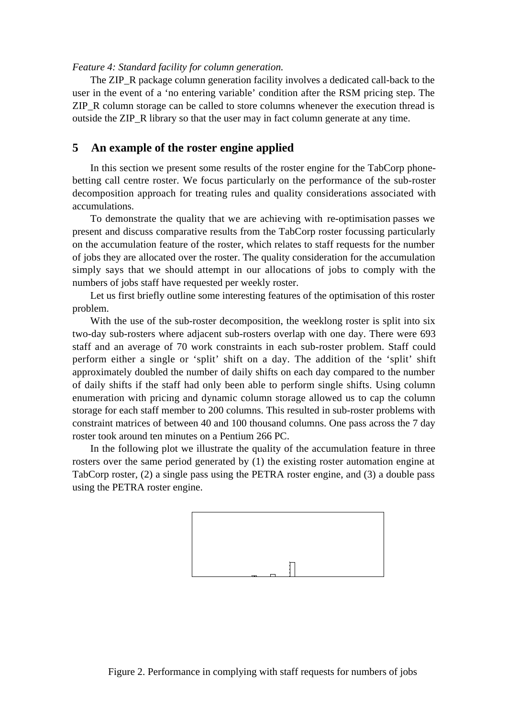#### *Feature 4: Standard facility for column generation.*

The ZIP\_R package column generation facility involves a dedicated call-back to the user in the event of a 'no entering variable' condition after the RSM pricing step. The ZIP\_R column storage can be called to store columns whenever the execution thread is outside the ZIP\_R library so that the user may in fact column generate at any time.

# **5 An example of the roster engine applied**

In this section we present some results of the roster engine for the TabCorp phonebetting call centre roster. We focus particularly on the performance of the sub-roster decomposition approach for treating rules and quality considerations associated with accumulations.

To demonstrate the quality that we are achieving with re-optimisation passes we present and discuss comparative results from the TabCorp roster focussing particularly on the accumulation feature of the roster, which relates to staff requests for the number of jobs they are allocated over the roster. The quality consideration for the accumulation simply says that we should attempt in our allocations of jobs to comply with the numbers of jobs staff have requested per weekly roster.

Let us first briefly outline some interesting features of the optimisation of this roster problem.

With the use of the sub-roster decomposition, the weeklong roster is split into six two-day sub-rosters where adjacent sub-rosters overlap with one day. There were 693 staff and an average of 70 work constraints in each sub-roster problem. Staff could perform either a single or 'split' shift on a day. The addition of the 'split' shift approximately doubled the number of daily shifts on each day compared to the number of daily shifts if the staff had only been able to perform single shifts. Using column enumeration with pricing and dynamic column storage allowed us to cap the column storage for each staff member to 200 columns. This resulted in sub-roster problems with constraint matrices of between 40 and 100 thousand columns. One pass across the 7 day roster took around ten minutes on a Pentium 266 PC.

In the following plot we illustrate the quality of the accumulation feature in three rosters over the same period generated by (1) the existing roster automation engine at TabCorp roster, (2) a single pass using the PETRA roster engine, and (3) a double pass using the PETRA roster engine.